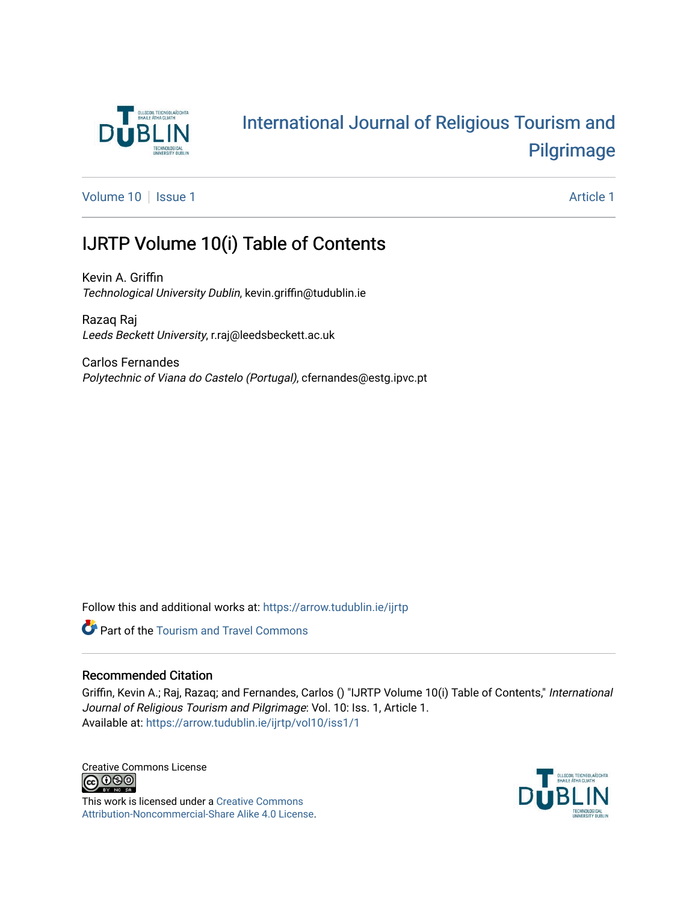

### [International Journal of Religious Tourism and](https://arrow.tudublin.ie/ijrtp)  [Pilgrimage](https://arrow.tudublin.ie/ijrtp)

[Volume 10](https://arrow.tudublin.ie/ijrtp/vol10) | [Issue 1](https://arrow.tudublin.ie/ijrtp/vol10/iss1) Article 1

### IJRTP Volume 10(i) Table of Contents

Kevin A. Griffin Technological University Dublin, kevin.griffin@tudublin.ie

Razaq Raj Leeds Beckett University, r.raj@leedsbeckett.ac.uk

Carlos Fernandes Polytechnic of Viana do Castelo (Portugal), cfernandes@estg.ipvc.pt

Follow this and additional works at: [https://arrow.tudublin.ie/ijrtp](https://arrow.tudublin.ie/ijrtp?utm_source=arrow.tudublin.ie%2Fijrtp%2Fvol10%2Fiss1%2F1&utm_medium=PDF&utm_campaign=PDFCoverPages)



#### Recommended Citation

Griffin, Kevin A.; Raj, Razaq; and Fernandes, Carlos () "IJRTP Volume 10(i) Table of Contents," International Journal of Religious Tourism and Pilgrimage: Vol. 10: Iss. 1, Article 1. Available at: [https://arrow.tudublin.ie/ijrtp/vol10/iss1/1](https://arrow.tudublin.ie/ijrtp/vol10/iss1/1?utm_source=arrow.tudublin.ie%2Fijrtp%2Fvol10%2Fiss1%2F1&utm_medium=PDF&utm_campaign=PDFCoverPages)

Creative Commons License<br>
CO 000

This work is licensed under a [Creative Commons](https://creativecommons.org/licenses/by-nc-sa/4.0/) [Attribution-Noncommercial-Share Alike 4.0 License](https://creativecommons.org/licenses/by-nc-sa/4.0/).

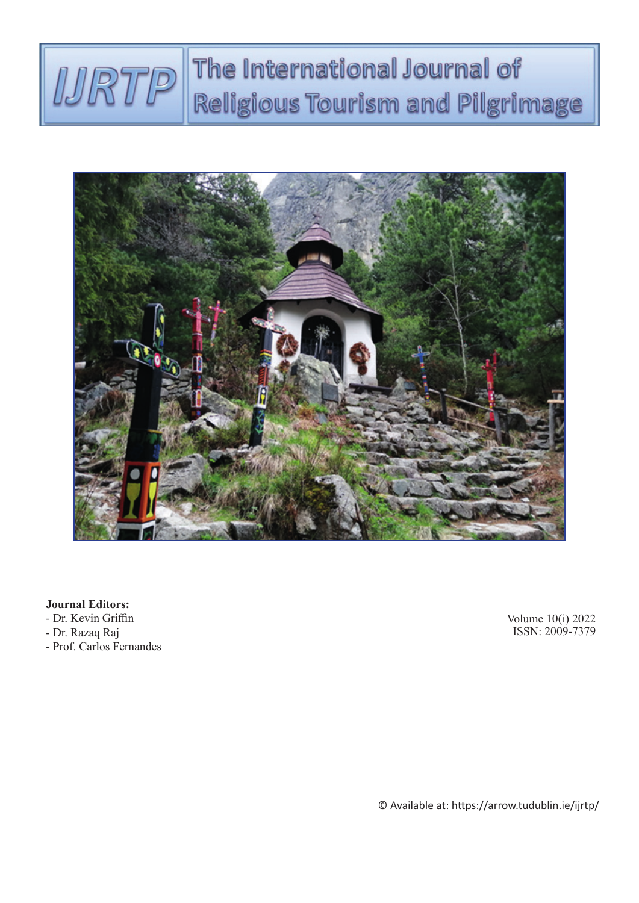## The International Journal of RTP Religious Tourism and Pilgrimage



#### **Journal Editors:**

- Dr. Kevin Griffin
- Dr. Razaq Raj
- Prof. Carlos Fernandes

Volume 10(i) 2022 ISSN: 2009-7379